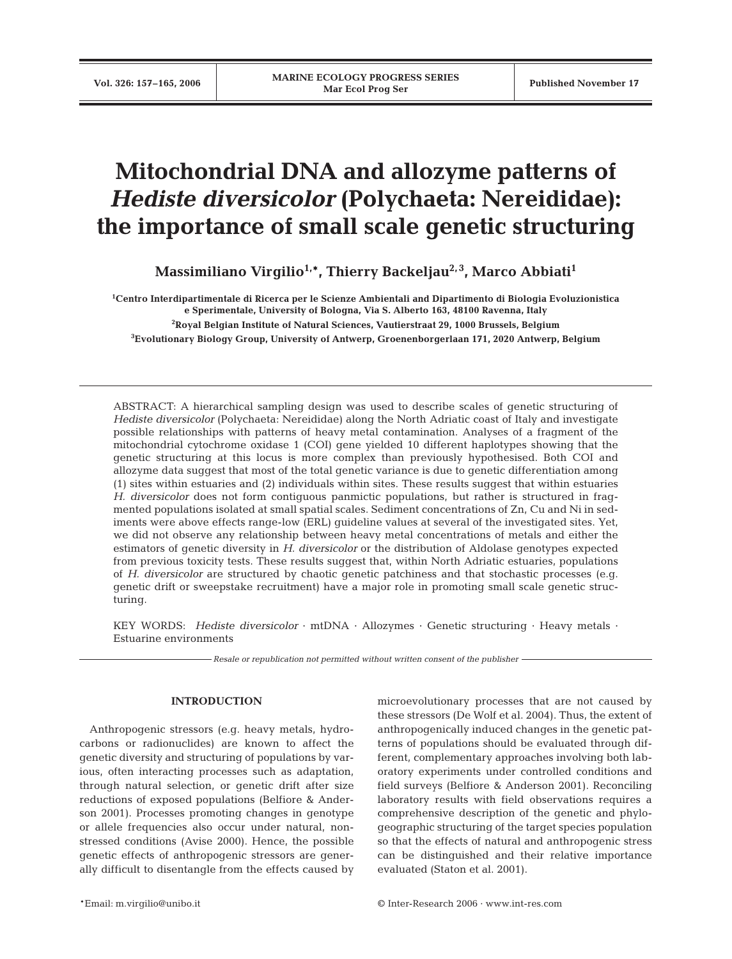# **Mitochondrial DNA and allozyme patterns of** *Hediste diversicolor* **(Polychaeta: Nereididae): the importance of small scale genetic structuring**

Massimiliano Virgilio<sup>1,\*</sup>, Thierry Backeljau<sup>2,3</sup>, Marco Abbiati<sup>1</sup>

 **Centro Interdipartimentale di Ricerca per le Scienze Ambientali and Dipartimento di Biologia Evoluzionistica e Sperimentale, University of Bologna, Via S. Alberto 163, 48100 Ravenna, Italy Royal Belgian Institute of Natural Sciences, Vautierstraat 29, 1000 Brussels, Belgium Evolutionary Biology Group, University of Antwerp, Groenenborgerlaan 171, 2020 Antwerp, Belgium**

ABSTRACT: A hierarchical sampling design was used to describe scales of genetic structuring of *Hediste diversicolor* (Polychaeta: Nereididae) along the North Adriatic coast of Italy and investigate possible relationships with patterns of heavy metal contamination. Analyses of a fragment of the mitochondrial cytochrome oxidase 1 (COI) gene yielded 10 different haplotypes showing that the genetic structuring at this locus is more complex than previously hypothesised. Both COI and allozyme data suggest that most of the total genetic variance is due to genetic differentiation among (1) sites within estuaries and (2) individuals within sites. These results suggest that within estuaries *H. diversicolor* does not form contiguous panmictic populations, but rather is structured in fragmented populations isolated at small spatial scales. Sediment concentrations of Zn, Cu and Ni in sediments were above effects range-low (ERL) guideline values at several of the investigated sites. Yet, we did not observe any relationship between heavy metal concentrations of metals and either the estimators of genetic diversity in *H. diversicolor* or the distribution of Aldolase genotypes expected from previous toxicity tests. These results suggest that, within North Adriatic estuaries, populations of *H. diversicolor* are structured by chaotic genetic patchiness and that stochastic processes (e.g. genetic drift or sweepstake recruitment) have a major role in promoting small scale genetic structuring.

KEY WORDS: *Hediste diversicolor* · mtDNA · Allozymes · Genetic structuring · Heavy metals · Estuarine environments

*Resale or republication not permitted without written consent of the publisher*

# **INTRODUCTION**

Anthropogenic stressors (e.g. heavy metals, hydrocarbons or radionuclides) are known to affect the genetic diversity and structuring of populations by various, often interacting processes such as adaptation, through natural selection, or genetic drift after size reductions of exposed populations (Belfiore & Anderson 2001). Processes promoting changes in genotype or allele frequencies also occur under natural, nonstressed conditions (Avise 2000). Hence, the possible genetic effects of anthropogenic stressors are generally difficult to disentangle from the effects caused by microevolutionary processes that are not caused by these stressors (De Wolf et al. 2004). Thus, the extent of anthropogenically induced changes in the genetic patterns of populations should be evaluated through different, complementary approaches involving both laboratory experiments under controlled conditions and field surveys (Belfiore & Anderson 2001). Reconciling laboratory results with field observations requires a comprehensive description of the genetic and phylogeographic structuring of the target species population so that the effects of natural and anthropogenic stress can be distinguished and their relative importance evaluated (Staton et al. 2001).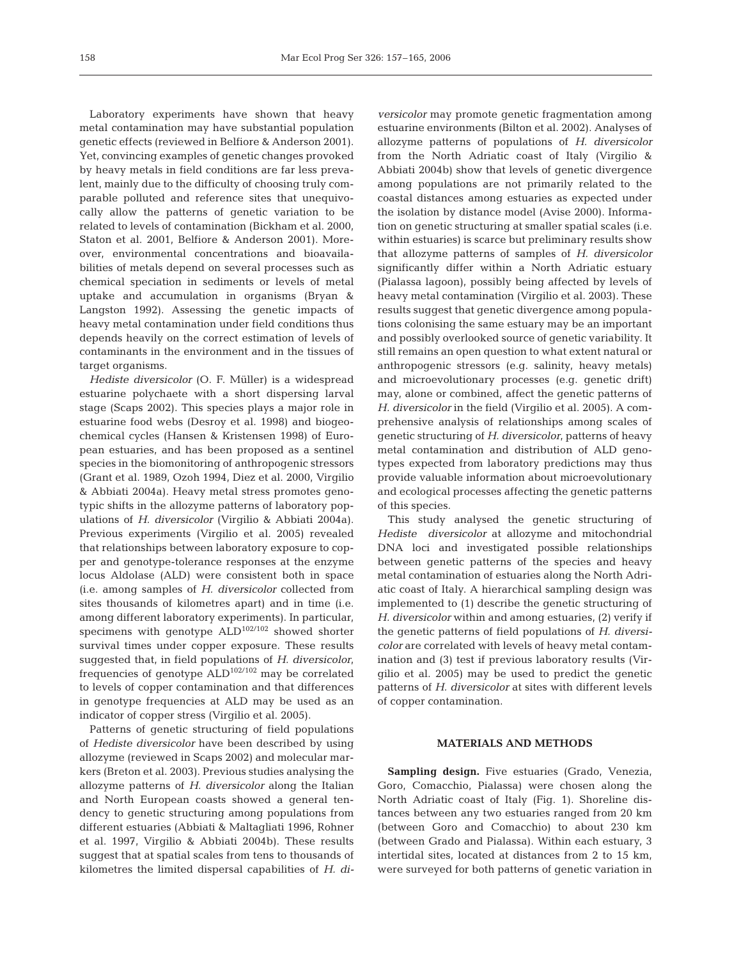Laboratory experiments have shown that heavy metal contamination may have substantial population genetic effects (reviewed in Belfiore & Anderson 2001). Yet, convincing examples of genetic changes provoked by heavy metals in field conditions are far less prevalent, mainly due to the difficulty of choosing truly comparable polluted and reference sites that unequivocally allow the patterns of genetic variation to be related to levels of contamination (Bickham et al. 2000, Staton et al. 2001, Belfiore & Anderson 2001). Moreover, environmental concentrations and bioavailabilities of metals depend on several processes such as chemical speciation in sediments or levels of metal uptake and accumulation in organisms (Bryan & Langston 1992). Assessing the genetic impacts of heavy metal contamination under field conditions thus depends heavily on the correct estimation of levels of contaminants in the environment and in the tissues of target organisms.

*Hediste diversicolor* (O. F. Müller) is a widespread estuarine polychaete with a short dispersing larval stage (Scaps 2002). This species plays a major role in estuarine food webs (Desroy et al. 1998) and biogeochemical cycles (Hansen & Kristensen 1998) of European estuaries, and has been proposed as a sentinel species in the biomonitoring of anthropogenic stressors (Grant et al. 1989, Ozoh 1994, Diez et al. 2000, Virgilio & Abbiati 2004a). Heavy metal stress promotes genotypic shifts in the allozyme patterns of laboratory populations of *H. diversicolor* (Virgilio & Abbiati 2004a). Previous experiments (Virgilio et al. 2005) revealed that relationships between laboratory exposure to copper and genotype-tolerance responses at the enzyme locus Aldolase (ALD) were consistent both in space (i.e. among samples of *H. diversicolor* collected from sites thousands of kilometres apart) and in time (i.e. among different laboratory experiments). In particular, specimens with genotype ALD102/102 showed shorter survival times under copper exposure. These results suggested that, in field populations of *H. diversicolor*, frequencies of genotype ALD102/102 may be correlated to levels of copper contamination and that differences in genotype frequencies at ALD may be used as an indicator of copper stress (Virgilio et al. 2005).

Patterns of genetic structuring of field populations of *Hediste diversicolor* have been described by using allozyme (reviewed in Scaps 2002) and molecular markers (Breton et al. 2003). Previous studies analysing the allozyme patterns of *H. diversicolor* along the Italian and North European coasts showed a general tendency to genetic structuring among populations from different estuaries (Abbiati & Maltagliati 1996, Rohner et al. 1997, Virgilio & Abbiati 2004b). These results suggest that at spatial scales from tens to thousands of kilometres the limited dispersal capabilities of *H. di-* *versicolor* may promote genetic fragmentation among estuarine environments (Bilton et al. 2002). Analyses of allozyme patterns of populations of *H. diversicolor* from the North Adriatic coast of Italy (Virgilio & Abbiati 2004b) show that levels of genetic divergence among populations are not primarily related to the coastal distances among estuaries as expected under the isolation by distance model (Avise 2000). Information on genetic structuring at smaller spatial scales (i.e. within estuaries) is scarce but preliminary results show that allozyme patterns of samples of *H. diversicolor* significantly differ within a North Adriatic estuary (Pialassa lagoon), possibly being affected by levels of heavy metal contamination (Virgilio et al. 2003). These results suggest that genetic divergence among populations colonising the same estuary may be an important and possibly overlooked source of genetic variability. It still remains an open question to what extent natural or anthropogenic stressors (e.g. salinity, heavy metals) and microevolutionary processes (e.g. genetic drift) may, alone or combined, affect the genetic patterns of *H. diversicolor* in the field (Virgilio et al. 2005). A comprehensive analysis of relationships among scales of genetic structuring of *H. diversicolor*, patterns of heavy metal contamination and distribution of ALD genotypes expected from laboratory predictions may thus provide valuable information about microevolutionary and ecological processes affecting the genetic patterns of this species.

This study analysed the genetic structuring of *Hediste diversicolor* at allozyme and mitochondrial DNA loci and investigated possible relationships between genetic patterns of the species and heavy metal contamination of estuaries along the North Adriatic coast of Italy. A hierarchical sampling design was implemented to (1) describe the genetic structuring of *H. diversicolor* within and among estuaries, (2) verify if the genetic patterns of field populations of *H. diversicolor* are correlated with levels of heavy metal contamination and (3) test if previous laboratory results (Virgilio et al. 2005) may be used to predict the genetic patterns of *H. diversicolor* at sites with different levels of copper contamination.

## **MATERIALS AND METHODS**

**Sampling design.** Five estuaries (Grado, Venezia, Goro, Comacchio, Pialassa) were chosen along the North Adriatic coast of Italy (Fig. 1). Shoreline distances between any two estuaries ranged from 20 km (between Goro and Comacchio) to about 230 km (between Grado and Pialassa). Within each estuary, 3 intertidal sites, located at distances from 2 to 15 km, were surveyed for both patterns of genetic variation in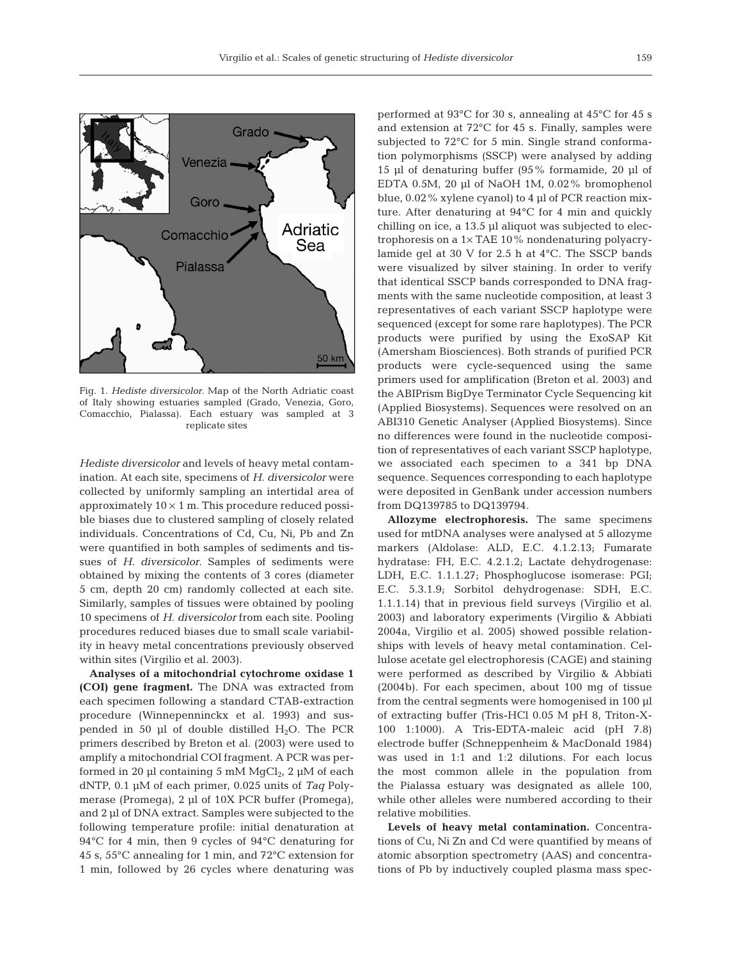

Fig. 1. *Hediste diversicolor*. Map of the North Adriatic coast of Italy showing estuaries sampled (Grado, Venezia, Goro, Comacchio, Pialassa). Each estuary was sampled at 3 replicate sites

*Hediste diversicolor* and levels of heavy metal contamination. At each site, specimens of *H. diversicolor* were collected by uniformly sampling an intertidal area of approximately  $10 \times 1$  m. This procedure reduced possible biases due to clustered sampling of closely related individuals. Concentrations of Cd, Cu, Ni, Pb and Zn were quantified in both samples of sediments and tissues of *H. diversicolor*. Samples of sediments were obtained by mixing the contents of 3 cores (diameter 5 cm, depth 20 cm) randomly collected at each site. Similarly, samples of tissues were obtained by pooling 10 specimens of *H. diversicolor* from each site. Pooling procedures reduced biases due to small scale variability in heavy metal concentrations previously observed within sites (Virgilio et al. 2003).

**Analyses of a mitochondrial cytochrome oxidase 1 (COI) gene fragment.** The DNA was extracted from each specimen following a standard CTAB-extraction procedure (Winnepenninckx et al. 1993) and suspended in 50  $\mu$ l of double distilled H<sub>2</sub>O. The PCR primers described by Breton et al. (2003) were used to amplify a mitochondrial COI fragment. A PCR was performed in 20 µl containing 5 mM  $MgCl<sub>2</sub>$ , 2 µM of each dNTP, 0.1 µM of each primer, 0.025 units of *Taq* Polymerase (Promega), 2 µl of 10X PCR buffer (Promega), and 2 µl of DNA extract. Samples were subjected to the following temperature profile: initial denaturation at 94°C for 4 min, then 9 cycles of 94°C denaturing for 45 s, 55°C annealing for 1 min, and 72°C extension for 1 min, followed by 26 cycles where denaturing was performed at 93°C for 30 s, annealing at 45°C for 45 s and extension at 72°C for 45 s. Finally, samples were subjected to 72°C for 5 min. Single strand conformation polymorphisms (SSCP) were analysed by adding 15 µl of denaturing buffer (95% formamide, 20 µl of EDTA 0.5M, 20 µl of NaOH 1M, 0.02% bromophenol blue, 0.02% xylene cyanol) to 4 µl of PCR reaction mixture. After denaturing at 94°C for 4 min and quickly chilling on ice, a 13.5 µl aliquot was subjected to electrophoresis on a 1× TAE 10% nondenaturing polyacrylamide gel at 30 V for 2.5 h at 4°C. The SSCP bands were visualized by silver staining. In order to verify that identical SSCP bands corresponded to DNA fragments with the same nucleotide composition, at least 3 representatives of each variant SSCP haplotype were sequenced (except for some rare haplotypes). The PCR products were purified by using the ExoSAP Kit (Amersham Biosciences). Both strands of purified PCR products were cycle-sequenced using the same primers used for amplification (Breton et al. 2003) and the ABIPrism BigDye Terminator Cycle Sequencing kit (Applied Biosystems). Sequences were resolved on an ABI310 Genetic Analyser (Applied Biosystems). Since no differences were found in the nucleotide composition of representatives of each variant SSCP haplotype, we associated each specimen to a 341 bp DNA sequence. Sequences corresponding to each haplotype were deposited in GenBank under accession numbers from DQ139785 to DQ139794.

**Allozyme electrophoresis.** The same specimens used for mtDNA analyses were analysed at 5 allozyme markers (Aldolase: ALD, E.C. 4.1.2.13; Fumarate hydratase: FH, E.C. 4.2.1.2; Lactate dehydrogenase: LDH, E.C. 1.1.1.27; Phosphoglucose isomerase: PGI; E.C. 5.3.1.9; Sorbitol dehydrogenase: SDH, E.C. 1.1.1.14) that in previous field surveys (Virgilio et al. 2003) and laboratory experiments (Virgilio & Abbiati 2004a, Virgilio et al. 2005) showed possible relationships with levels of heavy metal contamination. Cellulose acetate gel electrophoresis (CAGE) and staining were performed as described by Virgilio & Abbiati (2004b). For each specimen, about 100 mg of tissue from the central segments were homogenised in 100 µl of extracting buffer (Tris-HCl 0.05 M pH 8, Triton-X-100 1:1000). A Tris-EDTA-maleic acid (pH 7.8) electrode buffer (Schneppenheim & MacDonald 1984) was used in 1:1 and 1:2 dilutions. For each locus the most common allele in the population from the Pialassa estuary was designated as allele 100, while other alleles were numbered according to their relative mobilities.

**Levels of heavy metal contamination.** Concentrations of Cu, Ni Zn and Cd were quantified by means of atomic absorption spectrometry (AAS) and concentrations of Pb by inductively coupled plasma mass spec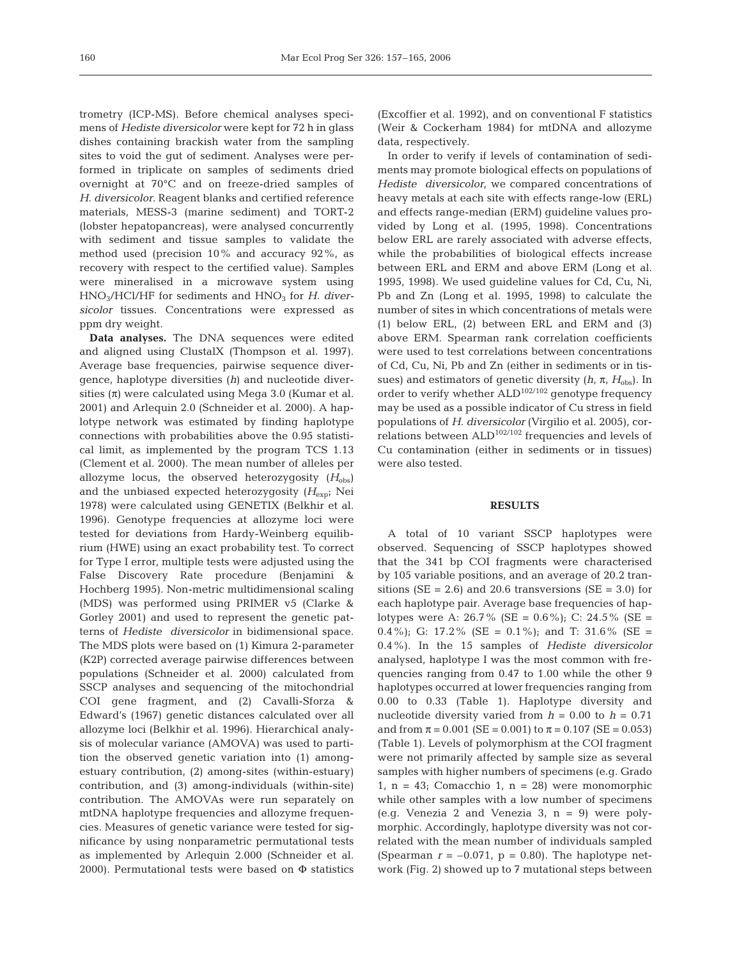trometry (ICP-MS). Before chemical analyses specimens of *Hediste diversicolor* were kept for 72 h in glass dishes containing brackish water from the sampling sites to void the gut of sediment. Analyses were performed in triplicate on samples of sediments dried overnight at 70°C and on freeze-dried samples of *H. diversicolor*. Reagent blanks and certified reference materials, MESS-3 (marine sediment) and TORT-2 (lobster hepatopancreas), were analysed concurrently with sediment and tissue samples to validate the method used (precision 10% and accuracy 92%, as recovery with respect to the certified value). Samples were mineralised in a microwave system using HNO<sub>3</sub>/HCl/HF for sediments and HNO<sub>3</sub> for *H. diversicolor* tissues. Concentrations were expressed as ppm dry weight.

**Data analyses.** The DNA sequences were edited and aligned using ClustalX (Thompson et al. 1997). Average base frequencies, pairwise sequence divergence, haplotype diversities (*h*) and nucleotide diversities  $(\pi)$  were calculated using Mega 3.0 (Kumar et al. 2001) and Arlequin 2.0 (Schneider et al. 2000). A haplotype network was estimated by finding haplotype connections with probabilities above the 0.95 statistical limit, as implemented by the program TCS 1.13 (Clement et al. 2000). The mean number of alleles per allozyme locus, the observed heterozygosity  $(H_{obs})$ and the unbiased expected heterozygosity (*H*exp; Nei 1978) were calculated using GENETIX (Belkhir et al. 1996). Genotype frequencies at allozyme loci were tested for deviations from Hardy-Weinberg equilibrium (HWE) using an exact probability test. To correct for Type I error, multiple tests were adjusted using the False Discovery Rate procedure (Benjamini & Hochberg 1995). Non-metric multidimensional scaling (MDS) was performed using PRIMER v5 (Clarke & Gorley 2001) and used to represent the genetic patterns of *Hediste diversicolor* in bidimensional space. The MDS plots were based on (1) Kimura 2-parameter (K2P) corrected average pairwise differences between populations (Schneider et al. 2000) calculated from SSCP analyses and sequencing of the mitochondrial COI gene fragment, and (2) Cavalli-Sforza & Edward's (1967) genetic distances calculated over all allozyme loci (Belkhir et al. 1996). Hierarchical analysis of molecular variance (AMOVA) was used to partition the observed genetic variation into (1) amongestuary contribution, (2) among-sites (within-estuary) contribution, and (3) among-individuals (within-site) contribution. The AMOVAs were run separately on mtDNA haplotype frequencies and allozyme frequencies. Measures of genetic variance were tested for significance by using nonparametric permutational tests as implemented by Arlequin 2.000 (Schneider et al. 2000). Permutational tests were based on Φ statistics

(Excoffier et al. 1992), and on conventional F statistics (Weir & Cockerham 1984) for mtDNA and allozyme data, respectively.

In order to verify if levels of contamination of sediments may promote biological effects on populations of *Hediste diversicolor*, we compared concentrations of heavy metals at each site with effects range-low (ERL) and effects range-median (ERM) guideline values provided by Long et al. (1995, 1998). Concentrations below ERL are rarely associated with adverse effects, while the probabilities of biological effects increase between ERL and ERM and above ERM (Long et al. 1995, 1998). We used guideline values for Cd, Cu, Ni, Pb and Zn (Long et al. 1995, 1998) to calculate the number of sites in which concentrations of metals were (1) below ERL, (2) between ERL and ERM and (3) above ERM. Spearman rank correlation coefficients were used to test correlations between concentrations of Cd, Cu, Ni, Pb and Zn (either in sediments or in tissues) and estimators of genetic diversity (*h*, π, *H*obs). In order to verify whether  $ALD^{102/102}$  genotype frequency may be used as a possible indicator of Cu stress in field populations of *H. diversicolor* (Virgilio et al. 2005), correlations between  $ALD<sup>102/102</sup>$  frequencies and levels of Cu contamination (either in sediments or in tissues) were also tested.

#### **RESULTS**

A total of 10 variant SSCP haplotypes were observed. Sequencing of SSCP haplotypes showed that the 341 bp COI fragments were characterised by 105 variable positions, and an average of 20.2 transitions ( $SE = 2.6$ ) and 20.6 transversions ( $SE = 3.0$ ) for each haplotype pair. Average base frequencies of haplotypes were A:  $26.7\%$  (SE =  $0.6\%$ ); C:  $24.5\%$  (SE = 0.4%); G: 17.2% (SE = 0.1%); and T: 31.6% (SE = 0.4%). In the 15 samples of *Hediste diversicolor* analysed, haplotype I was the most common with frequencies ranging from 0.47 to 1.00 while the other 9 haplotypes occurred at lower frequencies ranging from 0.00 to 0.33 (Table 1). Haplotype diversity and nucleotide diversity varied from  $h = 0.00$  to  $h = 0.71$ and from  $\pi = 0.001$  (SE = 0.001) to  $\pi = 0.107$  (SE = 0.053) (Table 1). Levels of polymorphism at the COI fragment were not primarily affected by sample size as several samples with higher numbers of specimens (e.g. Grado 1,  $n = 43$ ; Comacchio 1,  $n = 28$ ) were monomorphic while other samples with a low number of specimens (e.g. Venezia 2 and Venezia 3, n = 9) were polymorphic. Accordingly, haplotype diversity was not correlated with the mean number of individuals sampled (Spearman  $r = -0.071$ ,  $p = 0.80$ ). The haplotype network (Fig. 2) showed up to 7 mutational steps between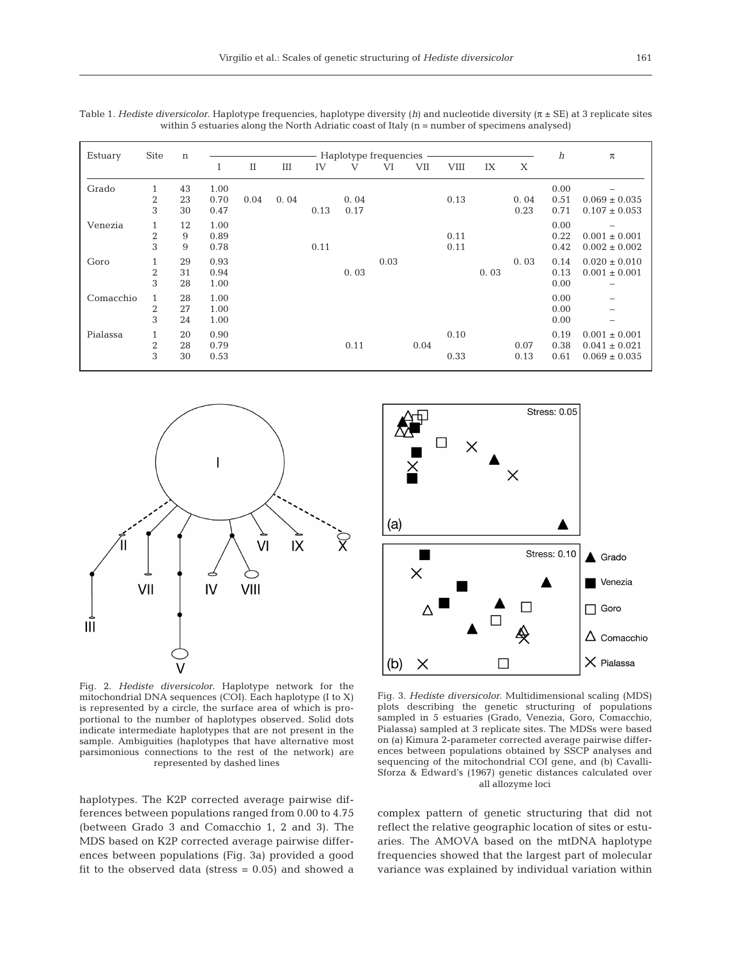| Estuary   | <b>Site</b>                           | $\mathbf n$    | Haplotype frequencies |          |      |      |              |      |      | $\boldsymbol{h}$ | $\pi$ |              |                      |                                                             |
|-----------|---------------------------------------|----------------|-----------------------|----------|------|------|--------------|------|------|------------------|-------|--------------|----------------------|-------------------------------------------------------------|
|           |                                       |                | Ι                     | $\rm II$ | Ш    | IV   | V            | VI   | VII  | VIII             | IX    | X            |                      |                                                             |
| Grado     | $\mathbf{1}$<br>$\boldsymbol{2}$<br>3 | 43<br>23<br>30 | 1.00<br>0.70<br>0.47  | 0.04     | 0.04 | 0.13 | 0.04<br>0.17 |      |      | 0.13             |       | 0.04<br>0.23 | 0.00<br>0.51<br>0.71 | $0.069 \pm 0.035$<br>$0.107 \pm 0.053$                      |
| Venezia   | $\mathbf{1}$<br>$\overline{2}$<br>3   | 12<br>9<br>9   | 1.00<br>0.89<br>0.78  |          |      | 0.11 |              |      |      | 0.11<br>0.11     |       |              | 0.00<br>0.22<br>0.42 | $0.001 \pm 0.001$<br>$0.002 \pm 0.002$                      |
| Goro      | $\mathbf{1}$<br>$\overline{2}$<br>3   | 29<br>31<br>28 | 0.93<br>0.94<br>1.00  |          |      |      | 0.03         | 0.03 |      |                  | 0.03  | 0.03         | 0.14<br>0.13<br>0.00 | $0.020 \pm 0.010$<br>$0.001 \pm 0.001$                      |
| Comacchio | 1<br>$\overline{2}$<br>3              | 28<br>27<br>24 | 1.00<br>1.00<br>1.00  |          |      |      |              |      |      |                  |       |              | 0.00<br>0.00<br>0.00 |                                                             |
| Pialassa  | $\mathbf{1}$<br>$\boldsymbol{2}$<br>3 | 20<br>28<br>30 | 0.90<br>0.79<br>0.53  |          |      |      | 0.11         |      | 0.04 | 0.10<br>0.33     |       | 0.07<br>0.13 | 0.19<br>0.38<br>0.61 | $0.001 \pm 0.001$<br>$0.041 \pm 0.021$<br>$0.069 \pm 0.035$ |

Table 1. *Hediste diversicolor*. Haplotype frequencies, haplotype diversity (*h*) and nucleotide diversity (π ± SE) at 3 replicate sites within 5 estuaries along the North Adriatic coast of Italy (n = number of specimens analysed)



Fig. 2. *Hediste diversicolor*. Haplotype network for the mitochondrial DNA sequences (COI). Each haplotype (I to X) is represented by a circle, the surface area of which is proportional to the number of haplotypes observed. Solid dots indicate intermediate haplotypes that are not present in the sample. Ambiguities (haplotypes that have alternative most parsimonious connections to the rest of the network) are represented by dashed lines

haplotypes. The K2P corrected average pairwise differences between populations ranged from 0.00 to 4.75 (between Grado 3 and Comacchio 1, 2 and 3). The MDS based on K2P corrected average pairwise differences between populations (Fig. 3a) provided a good fit to the observed data (stress  $= 0.05$ ) and showed a



Fig. 3. *Hediste diversicolor*. Multidimensional scaling (MDS) plots describing the genetic structuring of populations sampled in 5 estuaries (Grado, Venezia, Goro, Comacchio, Pialassa) sampled at 3 replicate sites. The MDSs were based on (a) Kimura 2-parameter corrected average pairwise differences between populations obtained by SSCP analyses and sequencing of the mitochondrial COI gene, and (b) Cavalli-Sforza & Edward's (1967) genetic distances calculated over all allozyme loci

complex pattern of genetic structuring that did not reflect the relative geographic location of sites or estuaries. The AMOVA based on the mtDNA haplotype frequencies showed that the largest part of molecular variance was explained by individual variation within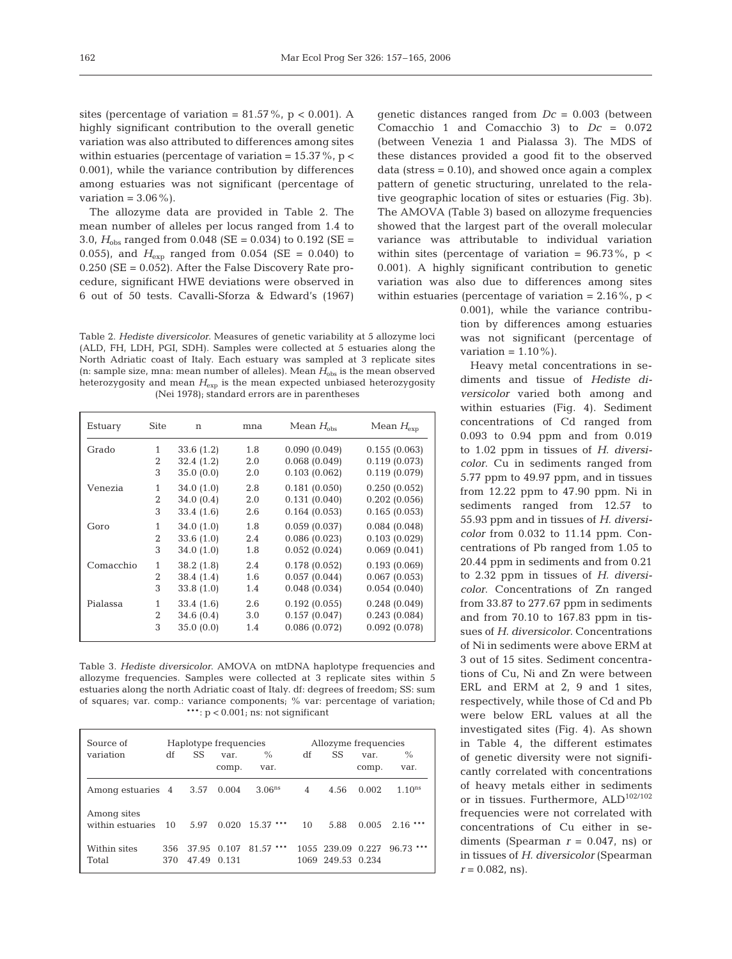sites (percentage of variation =  $81.57\%$ , p < 0.001). A highly significant contribution to the overall genetic variation was also attributed to differences among sites within estuaries (percentage of variation =  $15.37\%$ , p < 0.001), while the variance contribution by differences among estuaries was not significant (percentage of variation  $= 3.06\%$ ).

The allozyme data are provided in Table 2. The mean number of alleles per locus ranged from 1.4 to 3.0, *H*obs ranged from 0.048 (SE = 0.034) to 0.192 (SE = 0.055), and  $H_{\text{exp}}$  ranged from 0.054 (SE = 0.040) to 0.250 (SE = 0.052). After the False Discovery Rate procedure, significant HWE deviations were observed in 6 out of 50 tests. Cavalli-Sforza & Edward's (1967)

Table 2. *Hediste diversicolor*. Measures of genetic variability at 5 allozyme loci (ALD, FH, LDH, PGI, SDH). Samples were collected at 5 estuaries along the North Adriatic coast of Italy. Each estuary was sampled at 3 replicate sites (n: sample size, mna: mean number of alleles). Mean  $H_{obs}$  is the mean observed heterozygosity and mean *H*exp is the mean expected unbiased heterozygosity (Nei 1978); standard errors are in parentheses

| Estuary   | Site         | n         | mna | Mean $H_{obs}$ | Mean $H_{\text{exp}}$ |
|-----------|--------------|-----------|-----|----------------|-----------------------|
| Grado     | $\mathbf{1}$ | 33.6(1.2) | 1.8 | 0.090(0.049)   | 0.155(0.063)          |
|           | 2            | 32.4(1.2) | 2.0 | 0.068(0.049)   | 0.119(0.073)          |
|           | 3            | 35.0(0.0) | 2.0 | 0.103(0.062)   | 0.119(0.079)          |
| Venezia   | 1            | 34.0(1.0) | 2.8 | 0.181(0.050)   | 0.250(0.052)          |
|           | 2            | 34.0(0.4) | 2.0 | 0.131(0.040)   | 0.202(0.056)          |
|           | 3            | 33.4(1.6) | 2.6 | 0.164(0.053)   | 0.165(0.053)          |
| Goro      | 1            | 34.0(1.0) | 1.8 | 0.059(0.037)   | 0.084(0.048)          |
|           | 2            | 33.6(1.0) | 2.4 | 0.086(0.023)   | 0.103(0.029)          |
|           | 3            | 34.0(1.0) | 1.8 | 0.052(0.024)   | 0.069(0.041)          |
| Comacchio | 1            | 38.2(1.8) | 2.4 | 0.178(0.052)   | 0.193(0.069)          |
|           | 2            | 38.4(1.4) | 1.6 | 0.057(0.044)   | 0.067(0.053)          |
|           | 3            | 33.8(1.0) | 1.4 | 0.048(0.034)   | 0.054(0.040)          |
| Pialassa  | 1            | 33.4(1.6) | 2.6 | 0.192(0.055)   | 0.248(0.049)          |
|           | 2            | 34.6(0.4) | 3.0 | 0.157(0.047)   | 0.243(0.084)          |
|           | 3            | 35.0(0.0) | 1.4 | 0.086(0.072)   | 0.092(0.078)          |

Table 3. *Hediste diversicolor*. AMOVA on mtDNA haplotype frequencies and allozyme frequencies. Samples were collected at 3 replicate sites within 5 estuaries along the north Adriatic coast of Italy. df: degrees of freedom; SS: sum of squares; var. comp.: variance components; % var: percentage of variation; \*\*\*: p < 0.001; ns: not significant

| Source of<br>variation          | df         | SS             | Haplotype frequencies<br>var.<br>comp. | $\%$<br>var.       | df | Allozyme frequencies<br>SS       | var.<br>comp. | $\%$<br>var. |
|---------------------------------|------------|----------------|----------------------------------------|--------------------|----|----------------------------------|---------------|--------------|
| Among estuaries 4               |            | 3.57           | 0.004                                  | 3.06 <sup>ns</sup> | 4  | 4.56                             | 0.002         | $1.10^{ns}$  |
| Among sites<br>within estuaries | 10         | 5.97           | 0.020                                  | $15.37$ ***        | 10 | 5.88                             | 0.005         | $2.16$ ***   |
| Within sites<br>Total           | 356<br>370 | 37.95<br>47.49 | 0.107<br>0.131                         | $81.57$ ***        |    | 1055 239.09<br>1069 249.53 0.234 | 0.227         | $96.73$ ***  |

genetic distances ranged from *Dc* = 0.003 (between Comacchio 1 and Comacchio 3) to *Dc* = 0.072 (between Venezia 1 and Pialassa 3). The MDS of these distances provided a good fit to the observed data (stress  $= 0.10$ ), and showed once again a complex pattern of genetic structuring, unrelated to the relative geographic location of sites or estuaries (Fig. 3b). The AMOVA (Table 3) based on allozyme frequencies showed that the largest part of the overall molecular variance was attributable to individual variation within sites (percentage of variation =  $96.73\%$ , p < 0.001). A highly significant contribution to genetic variation was also due to differences among sites within estuaries (percentage of variation =  $2.16\%$ , p <

> 0.001), while the variance contribution by differences among estuaries was not significant (percentage of variation =  $1.10\%$ ).

> Heavy metal concentrations in sediments and tissue of *Hediste diversicolor* varied both among and within estuaries (Fig. 4). Sediment concentrations of Cd ranged from 0.093 to 0.94 ppm and from 0.019 to 1.02 ppm in tissues of *H. diversicolor*. Cu in sediments ranged from 5.77 ppm to 49.97 ppm, and in tissues from 12.22 ppm to 47.90 ppm. Ni in sediments ranged from 12.57 to 55.93 ppm and in tissues of *H. diversicolor* from 0.032 to 11.14 ppm. Concentrations of Pb ranged from 1.05 to 20.44 ppm in sediments and from 0.21 to 2.32 ppm in tissues of *H. diversicolor*. Concentrations of Zn ranged from 33.87 to 277.67 ppm in sediments and from 70.10 to 167.83 ppm in tissues of *H. diversicolor*. Concentrations of Ni in sediments were above ERM at 3 out of 15 sites. Sediment concentrations of Cu, Ni and Zn were between ERL and ERM at 2, 9 and 1 sites, respectively, while those of Cd and Pb were below ERL values at all the investigated sites (Fig. 4). As shown in Table 4, the different estimates of genetic diversity were not significantly correlated with concentrations of heavy metals either in sediments or in tissues. Furthermore, ALD<sup>102/102</sup> frequencies were not correlated with concentrations of Cu either in sediments (Spearman  $r = 0.047$ , ns) or in tissues of *H. diversicolor* (Spearman  $r = 0.082$ , ns).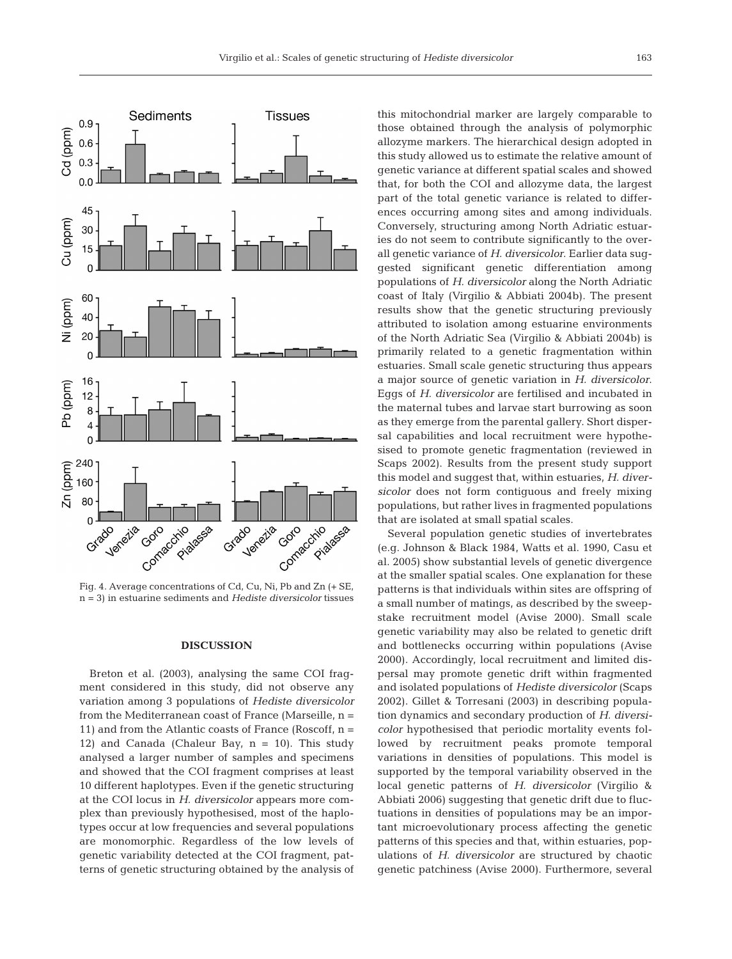

Fig. 4. Average concentrations of Cd, Cu, Ni, Pb and Zn (+ SE, n = 3) in estuarine sediments and *Hediste diversicolor* tissues

## **DISCUSSION**

Breton et al. (2003), analysing the same COI fragment considered in this study, did not observe any variation among 3 populations of *Hediste diversicolor* from the Mediterranean coast of France (Marseille, n = 11) and from the Atlantic coasts of France (Roscoff,  $n =$ 12) and Canada (Chaleur Bay,  $n = 10$ ). This study analysed a larger number of samples and specimens and showed that the COI fragment comprises at least 10 different haplotypes. Even if the genetic structuring at the COI locus in *H. diversicolor* appears more complex than previously hypothesised, most of the haplotypes occur at low frequencies and several populations are monomorphic. Regardless of the low levels of genetic variability detected at the COI fragment, patterns of genetic structuring obtained by the analysis of

this mitochondrial marker are largely comparable to those obtained through the analysis of polymorphic allozyme markers. The hierarchical design adopted in this study allowed us to estimate the relative amount of genetic variance at different spatial scales and showed that, for both the COI and allozyme data, the largest part of the total genetic variance is related to differences occurring among sites and among individuals. Conversely, structuring among North Adriatic estuaries do not seem to contribute significantly to the overall genetic variance of *H. diversicolor*. Earlier data suggested significant genetic differentiation among populations of *H. diversicolor* along the North Adriatic coast of Italy (Virgilio & Abbiati 2004b). The present results show that the genetic structuring previously attributed to isolation among estuarine environments of the North Adriatic Sea (Virgilio & Abbiati 2004b) is primarily related to a genetic fragmentation within estuaries. Small scale genetic structuring thus appears a major source of genetic variation in *H. diversicolor*. Eggs of *H. diversicolor* are fertilised and incubated in the maternal tubes and larvae start burrowing as soon as they emerge from the parental gallery. Short dispersal capabilities and local recruitment were hypothesised to promote genetic fragmentation (reviewed in Scaps 2002). Results from the present study support this model and suggest that, within estuaries, *H. diversicolor* does not form contiguous and freely mixing populations, but rather lives in fragmented populations that are isolated at small spatial scales.

Several population genetic studies of invertebrates (e.g. Johnson & Black 1984, Watts et al. 1990, Casu et al. 2005) show substantial levels of genetic divergence at the smaller spatial scales. One explanation for these patterns is that individuals within sites are offspring of a small number of matings, as described by the sweepstake recruitment model (Avise 2000). Small scale genetic variability may also be related to genetic drift and bottlenecks occurring within populations (Avise 2000). Accordingly, local recruitment and limited dispersal may promote genetic drift within fragmented and isolated populations of *Hediste diversicolor* (Scaps 2002). Gillet & Torresani (2003) in describing population dynamics and secondary production of *H. diversicolor* hypothesised that periodic mortality events followed by recruitment peaks promote temporal variations in densities of populations. This model is supported by the temporal variability observed in the local genetic patterns of *H. diversicolor* (Virgilio & Abbiati 2006) suggesting that genetic drift due to fluctuations in densities of populations may be an important microevolutionary process affecting the genetic patterns of this species and that, within estuaries, populations of *H. diversicolor* are structured by chaotic genetic patchiness (Avise 2000). Furthermore, several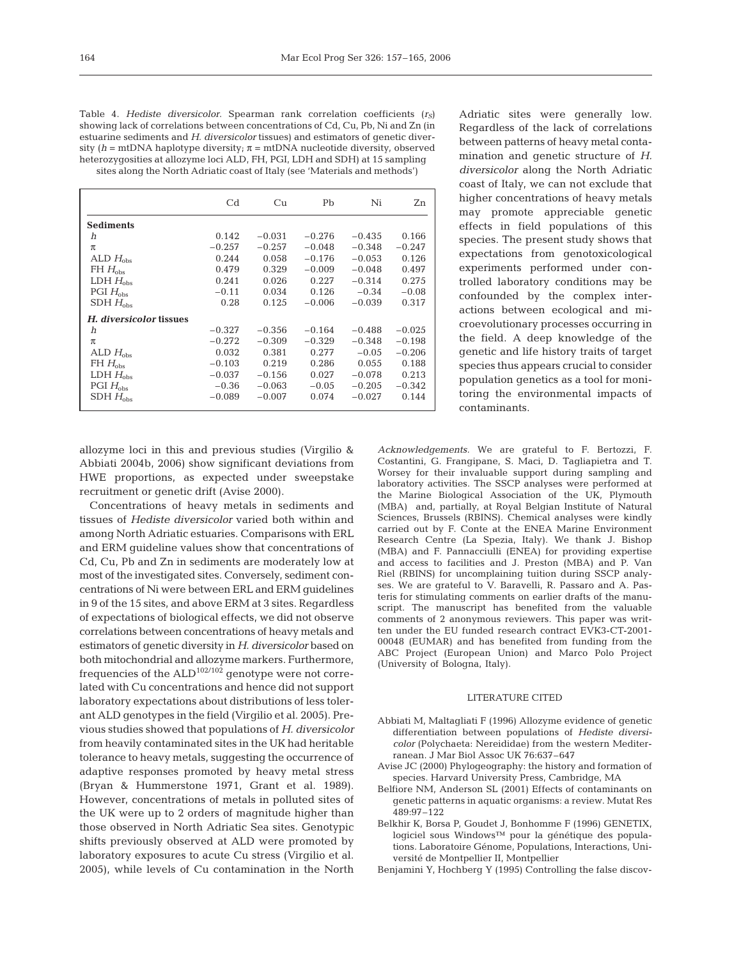| Table 4. Hediste diversicolor. Spearman rank correlation coefficients $(rs)$      |
|-----------------------------------------------------------------------------------|
| showing lack of correlations between concentrations of Cd, Cu, Pb, Ni and Zn (in  |
| estuarine sediments and H. diversicolor tissues) and estimators of genetic diver- |
| sity (h = mtDNA haplotype diversity; $\pi$ = mtDNA nucleotide diversity, observed |
| heterozyqosities at allozyme loci ALD, FH, PGI, LDH and SDH) at 15 sampling       |
| sites along the North Adriatic coast of Italy (see 'Materials and methods')       |

|                         | Cd       | Сu       | Pb       | Ni       | Zn       |
|-------------------------|----------|----------|----------|----------|----------|
| <b>Sediments</b>        |          |          |          |          |          |
| h                       | 0.142    | $-0.031$ | $-0.276$ | $-0.435$ | 0.166    |
| $\pi$                   | $-0.257$ | $-0.257$ | $-0.048$ | $-0.348$ | $-0.247$ |
| ALD $H_{obs}$           | 0.244    | 0.058    | $-0.176$ | $-0.053$ | 0.126    |
| $FH H_{obs}$            | 0.479    | 0.329    | $-0.009$ | $-0.048$ | 0.497    |
| LDH $H_{\text{obs}}$    | 0.241    | 0.026    | 0.227    | $-0.314$ | 0.275    |
| PGI $H_{\text{obs}}$    | $-0.11$  | 0.034    | 0.126    | $-0.34$  | $-0.08$  |
| $SDH H_{obs}$           | 0.28     | 0.125    | $-0.006$ | $-0.039$ | 0.317    |
| H. diversicolor tissues |          |          |          |          |          |
| h                       | $-0.327$ | $-0.356$ | $-0.164$ | $-0.488$ | $-0.025$ |
| π                       | $-0.272$ | $-0.309$ | $-0.329$ | $-0.348$ | $-0.198$ |
| ALD $H_{obs}$           | 0.032    | 0.381    | 0.277    | $-0.05$  | $-0.206$ |
| $FH H_{obs}$            | $-0.103$ | 0.219    | 0.286    | 0.055    | 0.188    |
| LDH $H_{\text{obs}}$    | $-0.037$ | $-0.156$ | 0.027    | $-0.078$ | 0.213    |
| PGI $H_{obs}$           | $-0.36$  | $-0.063$ | $-0.05$  | $-0.205$ | $-0.342$ |
| $SDH H_{obs}$           | $-0.089$ | $-0.007$ | 0.074    | $-0.027$ | 0.144    |

Adriatic sites were generally low. Regardless of the lack of correlations between patterns of heavy metal contamination and genetic structure of *H. diversicolor* along the North Adriatic coast of Italy, we can not exclude that higher concentrations of heavy metals may promote appreciable genetic effects in field populations of this species. The present study shows that expectations from genotoxicological experiments performed under controlled laboratory conditions may be confounded by the complex interactions between ecological and microevolutionary processes occurring in the field. A deep knowledge of the genetic and life history traits of target species thus appears crucial to consider population genetics as a tool for monitoring the environmental impacts of contaminants.

allozyme loci in this and previous studies (Virgilio & Abbiati 2004b, 2006) show significant deviations from HWE proportions, as expected under sweepstake recruitment or genetic drift (Avise 2000).

Concentrations of heavy metals in sediments and tissues of *Hediste diversicolor* varied both within and among North Adriatic estuaries. Comparisons with ERL and ERM guideline values show that concentrations of Cd, Cu, Pb and Zn in sediments are moderately low at most of the investigated sites. Conversely, sediment concentrations of Ni were between ERL and ERM guidelines in 9 of the 15 sites, and above ERM at 3 sites. Regardless of expectations of biological effects, we did not observe correlations between concentrations of heavy metals and estimators of genetic diversity in *H. diversicolor* based on both mitochondrial and allozyme markers*.* Furthermore, frequencies of the  $ALD<sup>102/102</sup>$  genotype were not correlated with Cu concentrations and hence did not support laboratory expectations about distributions of less tolerant ALD genotypes in the field (Virgilio et al. 2005). Previous studies showed that populations of *H. diversicolor* from heavily contaminated sites in the UK had heritable tolerance to heavy metals, suggesting the occurrence of adaptive responses promoted by heavy metal stress (Bryan & Hummerstone 1971, Grant et al. 1989). However, concentrations of metals in polluted sites of the UK were up to 2 orders of magnitude higher than those observed in North Adriatic Sea sites. Genotypic shifts previously observed at ALD were promoted by laboratory exposures to acute Cu stress (Virgilio et al. 2005), while levels of Cu contamination in the North

*Acknowledgements.* We are grateful to F. Bertozzi, F. Costantini, G. Frangipane, S. Maci, D. Tagliapietra and T. Worsey for their invaluable support during sampling and laboratory activities. The SSCP analyses were performed at the Marine Biological Association of the UK, Plymouth (MBA) and, partially, at Royal Belgian Institute of Natural Sciences, Brussels (RBINS). Chemical analyses were kindly carried out by F. Conte at the ENEA Marine Environment Research Centre (La Spezia, Italy). We thank J. Bishop (MBA) and F. Pannacciulli (ENEA) for providing expertise and access to facilities and J. Preston (MBA) and P. Van Riel (RBINS) for uncomplaining tuition during SSCP analyses. We are grateful to V. Baravelli, R. Passaro and A. Pasteris for stimulating comments on earlier drafts of the manuscript. The manuscript has benefited from the valuable comments of 2 anonymous reviewers. This paper was written under the EU funded research contract EVK3-CT-2001- 00048 (EUMAR) and has benefited from funding from the ABC Project (European Union) and Marco Polo Project (University of Bologna, Italy).

# LITERATURE CITED

- Abbiati M, Maltagliati F (1996) Allozyme evidence of genetic differentiation between populations of *Hediste diversicolor* (Polychaeta: Nereididae) from the western Mediterranean. J Mar Biol Assoc UK 76:637–647
- Avise JC (2000) Phylogeography: the history and formation of species. Harvard University Press, Cambridge, MA
- Belfiore NM, Anderson SL (2001) Effects of contaminants on genetic patterns in aquatic organisms: a review. Mutat Res 489:97–122
- Belkhir K, Borsa P, Goudet J, Bonhomme F (1996) GENETIX, logiciel sous Windows™ pour la génétique des populations. Laboratoire Génome, Populations, Interactions, Université de Montpellier II, Montpellier
- Benjamini Y, Hochberg Y (1995) Controlling the false discov-